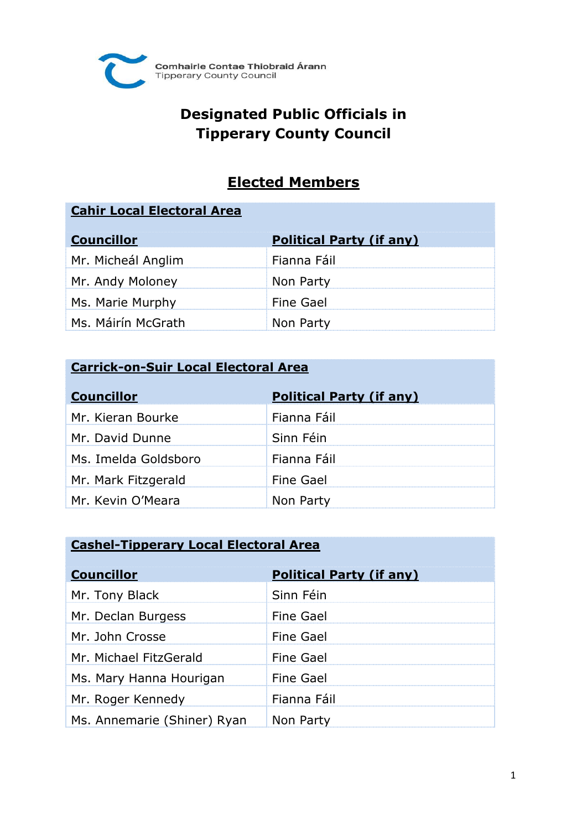

## **Designated Public Officials in Tipperary County Council**

## **Elected Members**

#### **Cahir Local Electoral Area**

| <b>Councillor</b>  | <b>Political Party (if any)</b> |
|--------------------|---------------------------------|
| Mr. Micheál Anglim | Fianna Fáil                     |
| Mr. Andy Moloney   | Non Party                       |
| Ms. Marie Murphy   | <b>Fine Gael</b>                |
| Ms. Máirín McGrath | Non Party                       |

### **Carrick-on-Suir Local Electoral Area**

| <b>Councillor</b>    | <b>Political Party (if any)</b> |
|----------------------|---------------------------------|
| Mr. Kieran Bourke    | Fianna Fáil                     |
| Mr. David Dunne      | Sinn Féin                       |
| Ms. Imelda Goldsboro | Fianna Fáil                     |
| Mr. Mark Fitzgerald  | <b>Fine Gael</b>                |
| Mr. Kevin O'Meara    | Non Party                       |

#### **Cashel-Tipperary Local Electoral Area**

| <b>Councillor</b>           | <b>Political Party (if any)</b> |
|-----------------------------|---------------------------------|
| Mr. Tony Black              | Sinn Féin                       |
| Mr. Declan Burgess          | <b>Fine Gael</b>                |
| Mr. John Crosse             | <b>Fine Gael</b>                |
| Mr. Michael FitzGerald      | <b>Fine Gael</b>                |
| Ms. Mary Hanna Hourigan     | <b>Fine Gael</b>                |
| Mr. Roger Kennedy           | Fianna Fáil                     |
| Ms. Annemarie (Shiner) Ryan | Non Party                       |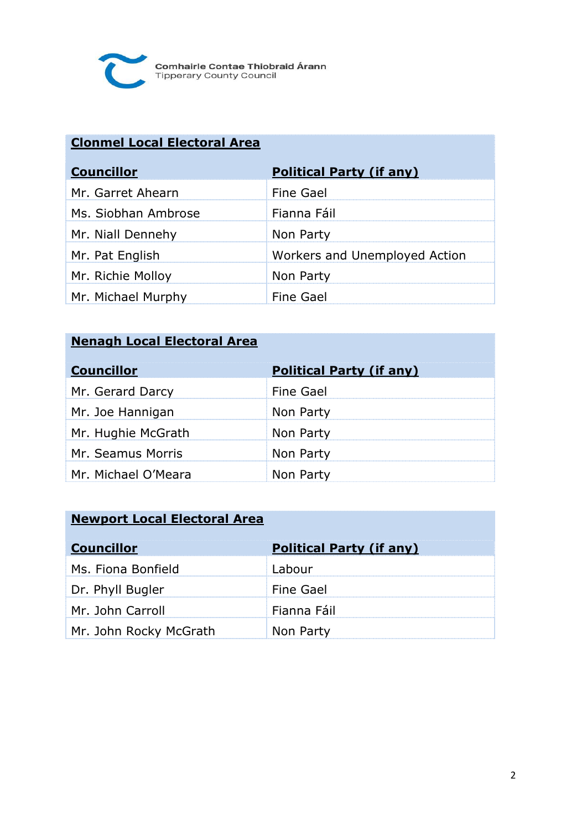

## **Clonmel Local Electoral Area**

| <b>Councillor</b>   | <b>Political Party (if any)</b> |
|---------------------|---------------------------------|
| Mr. Garret Ahearn   | <b>Fine Gael</b>                |
| Ms. Siobhan Ambrose | Fianna Fáil                     |
| Mr. Niall Dennehy   | Non Party                       |
| Mr. Pat English     | Workers and Unemployed Action   |
| Mr. Richie Molloy   | Non Party                       |
| Mr. Michael Murphy  | <b>Fine Gael</b>                |

### **Nenagh Local Electoral Area**

| <b>Councillor</b>   | <b>Political Party (if any)</b> |
|---------------------|---------------------------------|
| Mr. Gerard Darcy    | <b>Fine Gael</b>                |
| Mr. Joe Hannigan    | Non Party                       |
| Mr. Hughie McGrath  | Non Party                       |
| Mr. Seamus Morris   | Non Party                       |
| Mr. Michael O'Meara | Non Party                       |

## **Newport Local Electoral Area**

| <b>Councillor</b>      | <b>Political Party (if any)</b> |
|------------------------|---------------------------------|
| Ms. Fiona Bonfield     | Labour                          |
| Dr. Phyll Bugler       | <b>Fine Gael</b>                |
| Mr. John Carroll       | Fianna Fáil                     |
| Mr. John Rocky McGrath | Non Party                       |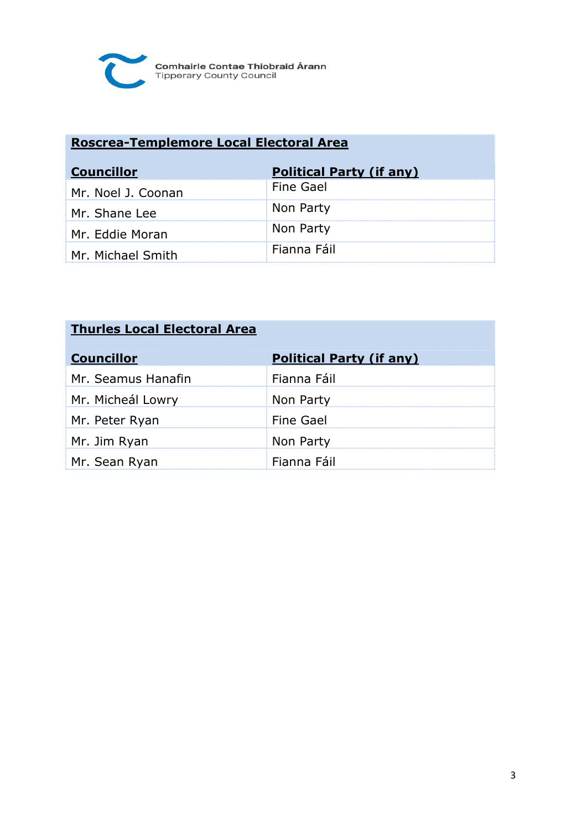

# **Roscrea-Templemore Local Electoral Area**

| <b>Councillor</b>  | <b>Political Party (if any)</b> |
|--------------------|---------------------------------|
| Mr. Noel J. Coonan | <b>Fine Gael</b>                |
| Mr. Shane Lee      | Non Party                       |
| Mr. Eddie Moran    | Non Party                       |
| Mr. Michael Smith  | Fianna Fáil                     |

| <b>Thurles Local Electoral Area</b> |                                 |  |
|-------------------------------------|---------------------------------|--|
| <b>Councillor</b>                   | <b>Political Party (if any)</b> |  |
| Mr. Seamus Hanafin                  | Fianna Fáil                     |  |
| Mr. Micheál Lowry                   | Non Party                       |  |
| Mr. Peter Ryan                      | <b>Fine Gael</b>                |  |
| Mr. Jim Ryan                        | Non Party                       |  |
| Mr. Sean Ryan                       | Fianna Fáil                     |  |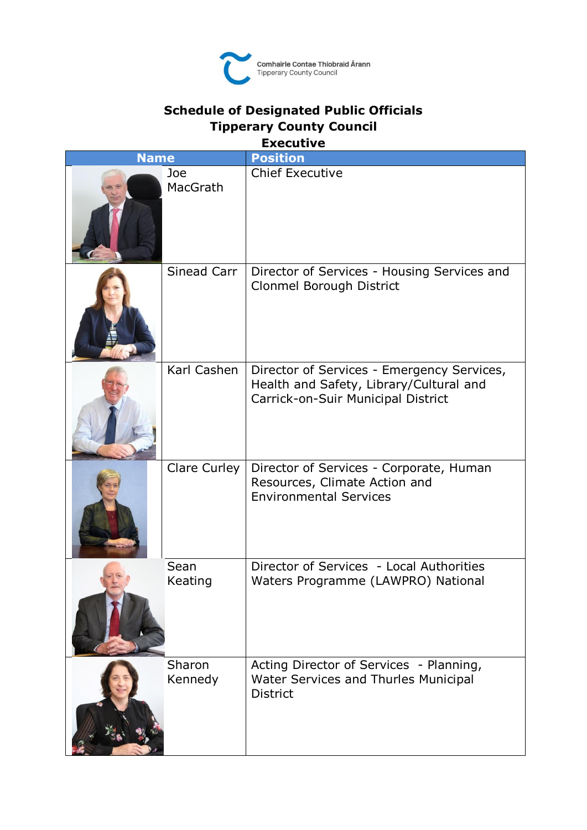

#### **Schedule of Designated Public Officials Tipperary County Council Executive**

| Executive   |                   |                                                                                                                             |
|-------------|-------------------|-----------------------------------------------------------------------------------------------------------------------------|
| <b>Name</b> |                   | <b>Position</b>                                                                                                             |
|             | Joe<br>MacGrath   | <b>Chief Executive</b>                                                                                                      |
|             | Sinead Carr       | Director of Services - Housing Services and<br>Clonmel Borough District                                                     |
|             | Karl Cashen       | Director of Services - Emergency Services,<br>Health and Safety, Library/Cultural and<br>Carrick-on-Suir Municipal District |
|             | Clare Curley      | Director of Services - Corporate, Human<br>Resources, Climate Action and<br><b>Environmental Services</b>                   |
|             | Sean<br>Keating   | Director of Services - Local Authorities<br>Waters Programme (LAWPRO) National                                              |
|             | Sharon<br>Kennedy | Acting Director of Services - Planning,<br>Water Services and Thurles Municipal<br><b>District</b>                          |